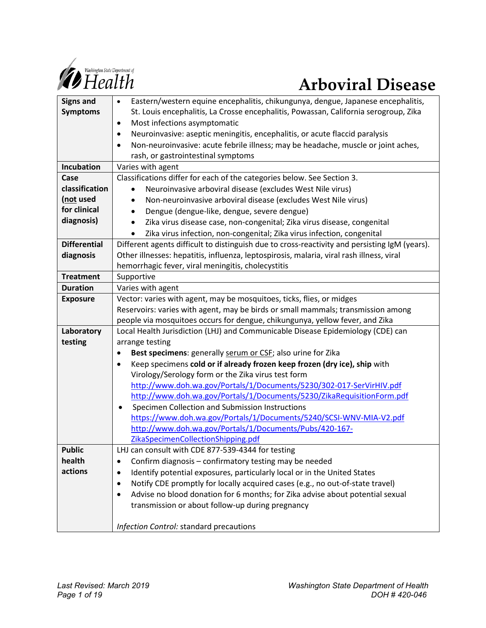

| <b>Signs and</b>    | Eastern/western equine encephalitis, chikungunya, dengue, Japanese encephalitis,<br>$\bullet$ |  |  |  |  |  |
|---------------------|-----------------------------------------------------------------------------------------------|--|--|--|--|--|
| <b>Symptoms</b>     | St. Louis encephalitis, La Crosse encephalitis, Powassan, California serogroup, Zika          |  |  |  |  |  |
|                     | Most infections asymptomatic<br>$\bullet$                                                     |  |  |  |  |  |
|                     | Neuroinvasive: aseptic meningitis, encephalitis, or acute flaccid paralysis<br>٠              |  |  |  |  |  |
|                     | Non-neuroinvasive: acute febrile illness; may be headache, muscle or joint aches,<br>٠        |  |  |  |  |  |
|                     | rash, or gastrointestinal symptoms                                                            |  |  |  |  |  |
| Incubation          | Varies with agent                                                                             |  |  |  |  |  |
| Case                | Classifications differ for each of the categories below. See Section 3.                       |  |  |  |  |  |
| classification      | Neuroinvasive arboviral disease (excludes West Nile virus)                                    |  |  |  |  |  |
| (not used           | Non-neuroinvasive arboviral disease (excludes West Nile virus)                                |  |  |  |  |  |
| for clinical        | Dengue (dengue-like, dengue, severe dengue)<br>٠                                              |  |  |  |  |  |
| diagnosis)          | Zika virus disease case, non-congenital; Zika virus disease, congenital<br>$\bullet$          |  |  |  |  |  |
|                     | Zika virus infection, non-congenital; Zika virus infection, congenital                        |  |  |  |  |  |
| <b>Differential</b> | Different agents difficult to distinguish due to cross-reactivity and persisting IgM (years). |  |  |  |  |  |
| diagnosis           | Other illnesses: hepatitis, influenza, leptospirosis, malaria, viral rash illness, viral      |  |  |  |  |  |
|                     | hemorrhagic fever, viral meningitis, cholecystitis                                            |  |  |  |  |  |
| <b>Treatment</b>    | Supportive                                                                                    |  |  |  |  |  |
| <b>Duration</b>     | Varies with agent                                                                             |  |  |  |  |  |
| <b>Exposure</b>     | Vector: varies with agent, may be mosquitoes, ticks, flies, or midges                         |  |  |  |  |  |
|                     | Reservoirs: varies with agent, may be birds or small mammals; transmission among              |  |  |  |  |  |
|                     | people via mosquitoes occurs for dengue, chikungunya, yellow fever, and Zika                  |  |  |  |  |  |
| Laboratory          | Local Health Jurisdiction (LHJ) and Communicable Disease Epidemiology (CDE) can               |  |  |  |  |  |
| testing             | arrange testing                                                                               |  |  |  |  |  |
|                     | Best specimens: generally serum or CSF; also urine for Zika<br>٠                              |  |  |  |  |  |
|                     | Keep specimens cold or if already frozen keep frozen (dry ice), ship with<br>$\bullet$        |  |  |  |  |  |
|                     | Virology/Serology form or the Zika virus test form                                            |  |  |  |  |  |
|                     | http://www.doh.wa.gov/Portals/1/Documents/5230/302-017-SerVirHIV.pdf                          |  |  |  |  |  |
|                     | http://www.doh.wa.gov/Portals/1/Documents/5230/ZikaRequisitionForm.pdf                        |  |  |  |  |  |
|                     | Specimen Collection and Submission Instructions<br>$\bullet$                                  |  |  |  |  |  |
|                     | https://www.doh.wa.gov/Portals/1/Documents/5240/SCSI-WNV-MIA-V2.pdf                           |  |  |  |  |  |
|                     | http://www.doh.wa.gov/Portals/1/Documents/Pubs/420-167-                                       |  |  |  |  |  |
|                     | ZikaSpecimenCollectionShipping.pdf                                                            |  |  |  |  |  |
| <b>Public</b>       | LHJ can consult with CDE 877-539-4344 for testing                                             |  |  |  |  |  |
| health              | Confirm diagnosis - confirmatory testing may be needed                                        |  |  |  |  |  |
| actions             | Identify potential exposures, particularly local or in the United States<br>$\bullet$         |  |  |  |  |  |
|                     | Notify CDE promptly for locally acquired cases (e.g., no out-of-state travel)<br>٠            |  |  |  |  |  |
|                     | Advise no blood donation for 6 months; for Zika advise about potential sexual<br>$\bullet$    |  |  |  |  |  |
|                     | transmission or about follow-up during pregnancy                                              |  |  |  |  |  |
|                     |                                                                                               |  |  |  |  |  |
|                     | Infection Control: standard precautions                                                       |  |  |  |  |  |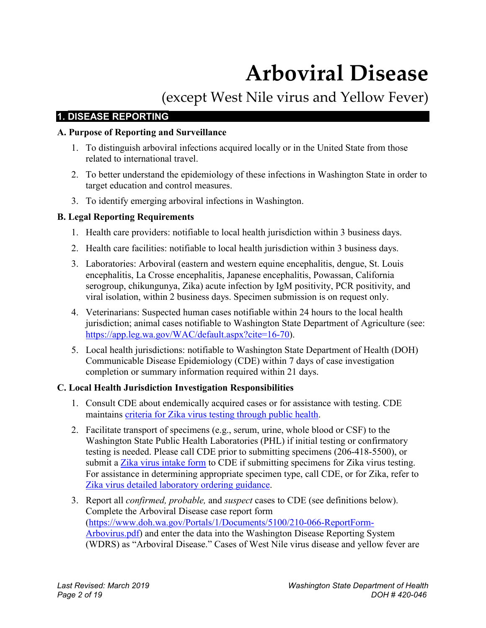# **Arboviral Disease**

(except West Nile virus and Yellow Fever)

# **1. DISEASE REPORTING**

# **A. Purpose of Reporting and Surveillance**

- 1. To distinguish arboviral infections acquired locally or in the United State from those related to international travel.
- 2. To better understand the epidemiology of these infections in Washington State in order to target education and control measures.
- 3. To identify emerging arboviral infections in Washington.

# **B. Legal Reporting Requirements**

- 1. Health care providers: notifiable to local health jurisdiction within 3 business days.
- 2. Health care facilities: notifiable to local health jurisdiction within 3 business days.
- 3. Laboratories: Arboviral (eastern and western equine encephalitis, dengue, St. Louis encephalitis, La Crosse encephalitis, Japanese encephalitis, Powassan, California serogroup, chikungunya, Zika) acute infection by IgM positivity, PCR positivity, and viral isolation, within 2 business days. Specimen submission is on request only.
- 4. Veterinarians: Suspected human cases notifiable within 24 hours to the local health jurisdiction; animal cases notifiable to Washington State Department of Agriculture (see: [https://app.leg.wa.gov/WAC/default.aspx?cite=16-70\)](https://app.leg.wa.gov/WAC/default.aspx?cite=16-70).
- 5. Local health jurisdictions: notifiable to Washington State Department of Health (DOH) Communicable Disease Epidemiology (CDE) within 7 days of case investigation completion or summary information required within 21 days.

# **C. Local Health Jurisdiction Investigation Responsibilities**

- 1. Consult CDE about endemically acquired cases or for assistance with testing. CDE maintains [criteria for Zika virus testing through public health.](https://www.doh.wa.gov/Portals/1/Documents/Pubs/420-165-CriteriaForZikaTestingWAPHL8-2018.pdf)
- 2. Facilitate transport of specimens (e.g., serum, urine, whole blood or CSF) to the Washington State Public Health Laboratories (PHL) if initial testing or confirmatory testing is needed. Please call CDE prior to submitting specimens (206-418-5500), or submit a [Zika virus intake form](https://www.doh.wa.gov/Portals/1/Documents/5410/ZikaVirusIntakeForm.pdf) to CDE if submitting specimens for Zika virus testing. For assistance in determining appropriate specimen type, call CDE, or for Zika, refer to [Zika virus detailed laboratory ordering guidance.](https://www.doh.wa.gov/Portals/1/Documents/Pubs/420-166-ZikaDetailedLabOrderingGuidance.pdf)
- 3. Report all *confirmed, probable,* and *suspect* cases to CDE (see definitions below). Complete the Arboviral Disease case report form [\(https://www.doh.wa.gov/Portals/1/Documents/5100/210-066-ReportForm-](https://www.doh.wa.gov/Portals/1/Documents/5100/210-066-ReportForm-Arbovirus.pdf)[Arbovirus.pdf\)](https://www.doh.wa.gov/Portals/1/Documents/5100/210-066-ReportForm-Arbovirus.pdf) and enter the data into the Washington Disease Reporting System (WDRS) as "Arboviral Disease." Cases of West Nile virus disease and yellow fever are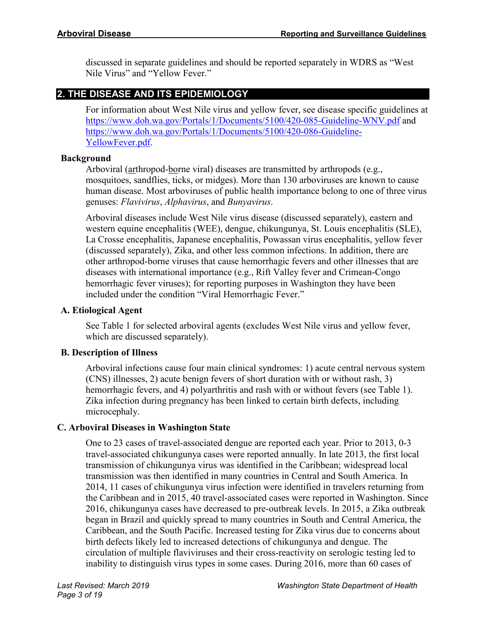discussed in separate guidelines and should be reported separately in WDRS as "West Nile Virus" and "Yellow Fever."

# **2. THE DISEASE AND ITS EPIDEMIOLOGY**

For information about West Nile virus and yellow fever, see disease specific guidelines at <https://www.doh.wa.gov/Portals/1/Documents/5100/420-085-Guideline-WNV.pdf> and [https://www.doh.wa.gov/Portals/1/Documents/5100/420-086-Guideline-](https://www.doh.wa.gov/Portals/1/Documents/5100/420-086-Guideline-YellowFever.pdf)[YellowFever.pdf.](https://www.doh.wa.gov/Portals/1/Documents/5100/420-086-Guideline-YellowFever.pdf)

# **Background**

Arboviral (arthropod-borne viral) diseases are transmitted by arthropods (e.g., mosquitoes, sandflies, ticks, or midges). More than 130 arboviruses are known to cause human disease. Most arboviruses of public health importance belong to one of three virus genuses: *Flavivirus*, *Alphavirus*, and *Bunyavirus*.

Arboviral diseases include West Nile virus disease (discussed separately), eastern and western equine encephalitis (WEE), dengue, chikungunya, St. Louis encephalitis (SLE), La Crosse encephalitis, Japanese encephalitis, Powassan virus encephalitis, yellow fever (discussed separately), Zika, and other less common infections. In addition, there are other arthropod-borne viruses that cause hemorrhagic fevers and other illnesses that are diseases with international importance (e.g., Rift Valley fever and Crimean-Congo hemorrhagic fever viruses); for reporting purposes in Washington they have been included under the condition "Viral Hemorrhagic Fever."

# **A. Etiological Agent**

See Table 1 for selected arboviral agents (excludes West Nile virus and yellow fever, which are discussed separately).

# **B. Description of Illness**

Arboviral infections cause four main clinical syndromes: 1) acute central nervous system (CNS) illnesses, 2) acute benign fevers of short duration with or without rash, 3) hemorrhagic fevers, and 4) polyarthritis and rash with or without fevers (see Table 1). Zika infection during pregnancy has been linked to certain birth defects, including microcephaly.

# **C. Arboviral Diseases in Washington State**

One to 23 cases of travel-associated dengue are reported each year. Prior to 2013, 0-3 travel-associated chikungunya cases were reported annually. In late 2013, the first local transmission of chikungunya virus was identified in the Caribbean; widespread local transmission was then identified in many countries in Central and South America. In 2014, 11 cases of chikungunya virus infection were identified in travelers returning from the Caribbean and in 2015, 40 travel-associated cases were reported in Washington. Since 2016, chikungunya cases have decreased to pre-outbreak levels. In 2015, a Zika outbreak began in Brazil and quickly spread to many countries in South and Central America, the Caribbean, and the South Pacific. Increased testing for Zika virus due to concerns about birth defects likely led to increased detections of chikungunya and dengue. The circulation of multiple flaviviruses and their cross-reactivity on serologic testing led to inability to distinguish virus types in some cases. During 2016, more than 60 cases of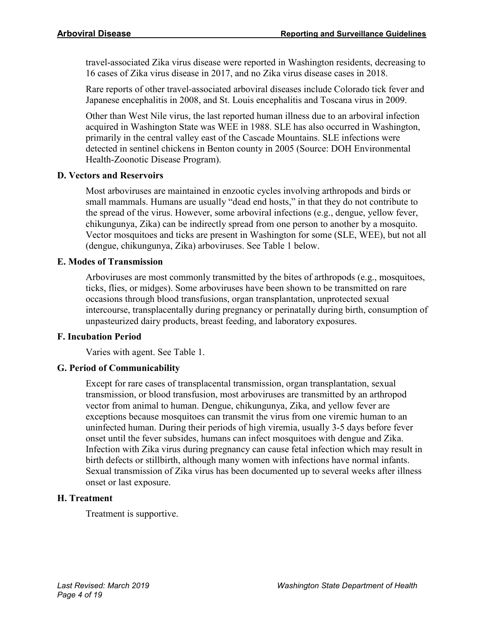travel-associated Zika virus disease were reported in Washington residents, decreasing to 16 cases of Zika virus disease in 2017, and no Zika virus disease cases in 2018.

Rare reports of other travel-associated arboviral diseases include Colorado tick fever and Japanese encephalitis in 2008, and St. Louis encephalitis and Toscana virus in 2009.

Other than West Nile virus, the last reported human illness due to an arboviral infection acquired in Washington State was WEE in 1988. SLE has also occurred in Washington, primarily in the central valley east of the Cascade Mountains. SLE infections were detected in sentinel chickens in Benton county in 2005 (Source: DOH Environmental Health-Zoonotic Disease Program).

# **D. Vectors and Reservoirs**

Most arboviruses are maintained in enzootic cycles involving arthropods and birds or small mammals. Humans are usually "dead end hosts," in that they do not contribute to the spread of the virus. However, some arboviral infections (e.g., dengue, yellow fever, chikungunya, Zika) can be indirectly spread from one person to another by a mosquito. Vector mosquitoes and ticks are present in Washington for some (SLE, WEE), but not all (dengue, chikungunya, Zika) arboviruses. See Table 1 below.

# **E. Modes of Transmission**

Arboviruses are most commonly transmitted by the bites of arthropods (e.g., mosquitoes, ticks, flies, or midges). Some arboviruses have been shown to be transmitted on rare occasions through blood transfusions, organ transplantation, unprotected sexual intercourse, transplacentally during pregnancy or perinatally during birth, consumption of unpasteurized dairy products, breast feeding, and laboratory exposures.

#### **F. Incubation Period**

Varies with agent. See Table 1.

# **G. Period of Communicability**

Except for rare cases of transplacental transmission, organ transplantation, sexual transmission, or blood transfusion, most arboviruses are transmitted by an arthropod vector from animal to human. Dengue, chikungunya, Zika, and yellow fever are exceptions because mosquitoes can transmit the virus from one viremic human to an uninfected human. During their periods of high viremia, usually 3-5 days before fever onset until the fever subsides, humans can infect mosquitoes with dengue and Zika. Infection with Zika virus during pregnancy can cause fetal infection which may result in birth defects or stillbirth, although many women with infections have normal infants. Sexual transmission of Zika virus has been documented up to several weeks after illness onset or last exposure.

#### **H. Treatment**

Treatment is supportive.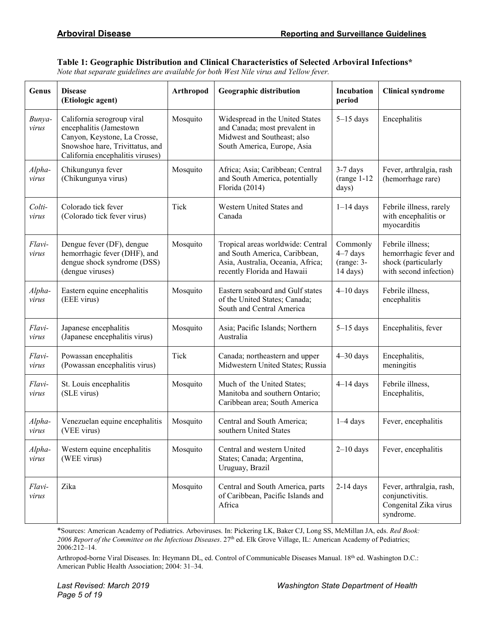#### **Table 1: Geographic Distribution and Clinical Characteristics of Selected Arboviral Infections\***

*Note that separate guidelines are available for both West Nile virus and Yellow fever.*

| Genus           | <b>Disease</b><br>(Etiologic agent)                                                                                                                          | Arthropod | <b>Geographic distribution</b>                                                                                                         | Incubation<br>period                               | <b>Clinical syndrome</b>                                                                   |
|-----------------|--------------------------------------------------------------------------------------------------------------------------------------------------------------|-----------|----------------------------------------------------------------------------------------------------------------------------------------|----------------------------------------------------|--------------------------------------------------------------------------------------------|
| Bunya-<br>virus | California serogroup viral<br>encephalitis (Jamestown<br>Canyon, Keystone, La Crosse,<br>Snowshoe hare, Trivittatus, and<br>California encephalitis viruses) | Mosquito  | Widespread in the United States<br>and Canada; most prevalent in<br>Midwest and Southeast; also<br>South America, Europe, Asia         | $5-15$ days                                        | Encephalitis                                                                               |
| Alpha-<br>virus | Chikungunya fever<br>(Chikungunya virus)                                                                                                                     | Mosquito  | Africa; Asia; Caribbean; Central<br>and South America, potentially<br>Florida (2014)                                                   | $3-7$ days<br>$(range 1-12$<br>days)               | Fever, arthralgia, rash<br>(hemorrhage rare)                                               |
| Colti-<br>virus | Colorado tick fever<br>(Colorado tick fever virus)                                                                                                           | Tick      | Western United States and<br>Canada                                                                                                    | $1-14$ days                                        | Febrile illness, rarely<br>with encephalitis or<br>myocarditis                             |
| Flavi-<br>virus | Dengue fever (DF), dengue<br>hemorrhagic fever (DHF), and<br>dengue shock syndrome (DSS)<br>(dengue viruses)                                                 | Mosquito  | Tropical areas worldwide: Central<br>and South America, Caribbean,<br>Asia, Australia, Oceania, Africa;<br>recently Florida and Hawaii | Commonly<br>$4-7$ days<br>$(range: 3-$<br>14 days) | Febrile illness;<br>hemorrhagic fever and<br>shock (particularly<br>with second infection) |
| Alpha-<br>virus | Eastern equine encephalitis<br>(EEE virus)                                                                                                                   | Mosquito  | Eastern seaboard and Gulf states<br>of the United States; Canada;<br>South and Central America                                         | $4-10$ days                                        | Febrile illness,<br>encephalitis                                                           |
| Flavi-<br>virus | Japanese encephalitis<br>(Japanese encephalitis virus)                                                                                                       | Mosquito  | Asia; Pacific Islands; Northern<br>Australia                                                                                           | $5-15$ days                                        | Encephalitis, fever                                                                        |
| Flavi-<br>virus | Powassan encephalitis<br>(Powassan encephalitis virus)                                                                                                       | Tick      | Canada; northeastern and upper<br>Midwestern United States; Russia                                                                     | $4 - 30$ days                                      | Encephalitis,<br>meningitis                                                                |
| Flavi-<br>virus | St. Louis encephalitis<br>(SLE virus)                                                                                                                        | Mosquito  | Much of the United States;<br>Manitoba and southern Ontario;<br>Caribbean area; South America                                          | $4-14$ days                                        | Febrile illness,<br>Encephalitis,                                                          |
| Alpha-<br>virus | Venezuelan equine encephalitis<br>(VEE virus)                                                                                                                | Mosquito  | Central and South America;<br>southern United States                                                                                   | $1-4$ days                                         | Fever, encephalitis                                                                        |
| Alpha-<br>virus | Western equine encephalitis<br>(WEE virus)                                                                                                                   | Mosquito  | Central and western United<br>States; Canada; Argentina,<br>Uruguay, Brazil                                                            | $2-10$ days                                        | Fever, encephalitis                                                                        |
| Flavi-<br>virus | Zika                                                                                                                                                         | Mosquito  | Central and South America, parts<br>of Caribbean, Pacific Islands and<br>Africa                                                        | $2-14$ days                                        | Fever, arthralgia, rash,<br>conjunctivitis.<br>Congenital Zika virus<br>syndrome.          |

\*Sources: American Academy of Pediatrics. Arboviruses. In: Pickering LK, Baker CJ, Long SS, McMillan JA, eds. *Red Book: 2006 Report of the Committee on the Infectious Diseases*. 27th ed. Elk Grove Village, IL: American Academy of Pediatrics; 2006:212–14.

Arthropod-borne Viral Diseases. In: Heymann DL, ed. Control of Communicable Diseases Manual. 18<sup>th</sup> ed. Washington D.C.: American Public Health Association; 2004: 31–34.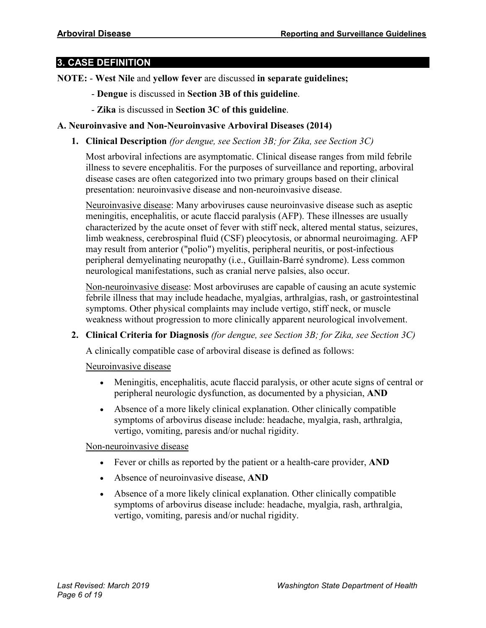# **3. CASE DEFINITION**

**NOTE:** - **West Nile** and **yellow fever** are discussed **in separate guidelines;**

- **Dengue** is discussed in **Section 3B of this guideline**.
- **Zika** is discussed in **Section 3C of this guideline**.

# **A. Neuroinvasive and Non-Neuroinvasive Arboviral Diseases (2014)**

**1. Clinical Description** *(for dengue, see Section 3B; for Zika, see Section 3C)*

Most arboviral infections are asymptomatic. Clinical disease ranges from mild febrile illness to severe encephalitis. For the purposes of surveillance and reporting, arboviral disease cases are often categorized into two primary groups based on their clinical presentation: neuroinvasive disease and non-neuroinvasive disease.

Neuroinvasive disease: Many arboviruses cause neuroinvasive disease such as aseptic meningitis, encephalitis, or acute flaccid paralysis (AFP). These illnesses are usually characterized by the acute onset of fever with stiff neck, altered mental status, seizures, limb weakness, cerebrospinal fluid (CSF) pleocytosis, or abnormal neuroimaging. AFP may result from anterior ("polio") myelitis, peripheral neuritis, or post-infectious peripheral demyelinating neuropathy (i.e., Guillain-Barré syndrome). Less common neurological manifestations, such as cranial nerve palsies, also occur.

Non-neuroinvasive disease: Most arboviruses are capable of causing an acute systemic febrile illness that may include headache, myalgias, arthralgias, rash, or gastrointestinal symptoms. Other physical complaints may include vertigo, stiff neck, or muscle weakness without progression to more clinically apparent neurological involvement.

**2. Clinical Criteria for Diagnosis** *(for dengue, see Section 3B; for Zika, see Section 3C)*

A clinically compatible case of arboviral disease is defined as follows:

#### Neuroinvasive disease

- Meningitis, encephalitis, acute flaccid paralysis, or other acute signs of central or peripheral neurologic dysfunction, as documented by a physician, **AND**
- Absence of a more likely clinical explanation. Other clinically compatible symptoms of arbovirus disease include: headache, myalgia, rash, arthralgia, vertigo, vomiting, paresis and/or nuchal rigidity.

#### Non-neuroinvasive disease

- Fever or chills as reported by the patient or a health-care provider, **AND**
- Absence of neuroinvasive disease, **AND**
- Absence of a more likely clinical explanation. Other clinically compatible symptoms of arbovirus disease include: headache, myalgia, rash, arthralgia, vertigo, vomiting, paresis and/or nuchal rigidity.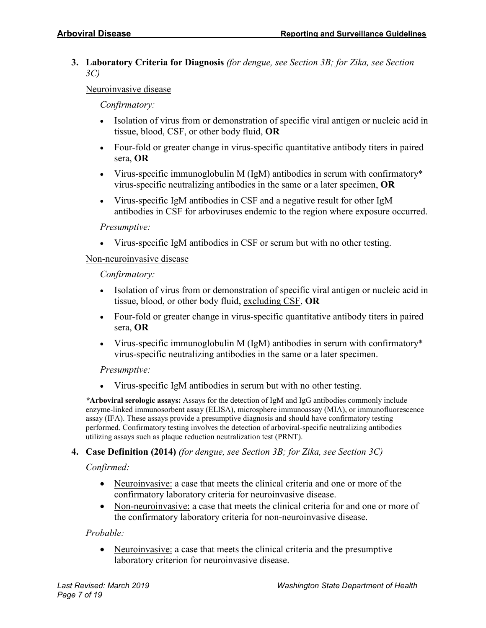**3. Laboratory Criteria for Diagnosis** *(for dengue, see Section 3B; for Zika, see Section 3C)*

Neuroinvasive disease

*Confirmatory:*

- Isolation of virus from or demonstration of specific viral antigen or nucleic acid in tissue, blood, CSF, or other body fluid, **OR**
- Four-fold or greater change in virus-specific quantitative antibody titers in paired sera, **OR**
- Virus-specific immunoglobulin M (IgM) antibodies in serum with confirmatory\* virus-specific neutralizing antibodies in the same or a later specimen, **OR**
- Virus-specific IgM antibodies in CSF and a negative result for other IgM antibodies in CSF for arboviruses endemic to the region where exposure occurred.

#### *Presumptive:*

• Virus-specific IgM antibodies in CSF or serum but with no other testing.

#### Non-neuroinvasive disease

*Confirmatory:*

- Isolation of virus from or demonstration of specific viral antigen or nucleic acid in tissue, blood, or other body fluid, excluding CSF, **OR**
- Four-fold or greater change in virus-specific quantitative antibody titers in paired sera, **OR**
- Virus-specific immunoglobulin M (IgM) antibodies in serum with confirmatory\* virus-specific neutralizing antibodies in the same or a later specimen.

#### *Presumptive:*

• Virus-specific IgM antibodies in serum but with no other testing.

*\****Arboviral serologic assays:** Assays for the detection of IgM and IgG antibodies commonly include enzyme-linked immunosorbent assay (ELISA), microsphere immunoassay (MIA), or immunofluorescence assay (IFA). These assays provide a presumptive diagnosis and should have confirmatory testing performed. Confirmatory testing involves the detection of arboviral-specific neutralizing antibodies utilizing assays such as plaque reduction neutralization test (PRNT).

#### **4. Case Definition (2014)** *(for dengue, see Section 3B; for Zika, see Section 3C)*

*Confirmed:*

- Neuroinvasive: a case that meets the clinical criteria and one or more of the confirmatory laboratory criteria for neuroinvasive disease.
- Non-neuroinvasive: a case that meets the clinical criteria for and one or more of the confirmatory laboratory criteria for non-neuroinvasive disease.

#### *Probable:*

• Neuroinvasive: a case that meets the clinical criteria and the presumptive laboratory criterion for neuroinvasive disease.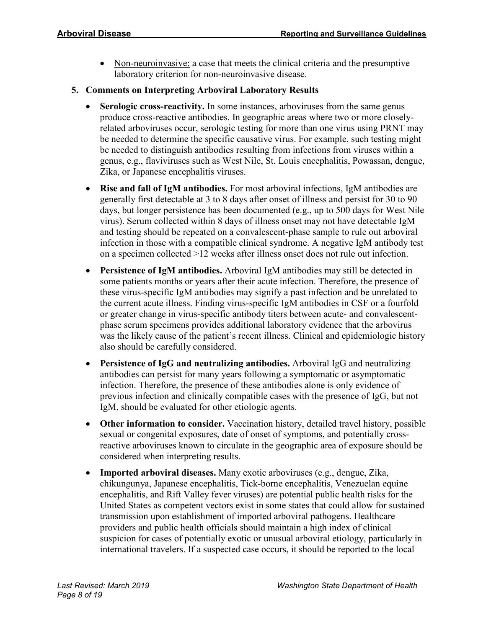- Non-neuroinvasive: a case that meets the clinical criteria and the presumptive laboratory criterion for non-neuroinvasive disease.
- **5. Comments on Interpreting Arboviral Laboratory Results**
	- **Serologic cross-reactivity.** In some instances, arboviruses from the same genus produce cross-reactive antibodies. In geographic areas where two or more closelyrelated arboviruses occur, serologic testing for more than one virus using PRNT may be needed to determine the specific causative virus. For example, such testing might be needed to distinguish antibodies resulting from infections from viruses within a genus, e.g., flaviviruses such as West Nile, St. Louis encephalitis, Powassan, dengue, Zika, or Japanese encephalitis viruses.
	- **Rise and fall of IgM antibodies.** For most arboviral infections, IgM antibodies are generally first detectable at 3 to 8 days after onset of illness and persist for 30 to 90 days, but longer persistence has been documented (e.g., up to 500 days for West Nile virus). Serum collected within 8 days of illness onset may not have detectable IgM and testing should be repeated on a convalescent-phase sample to rule out arboviral infection in those with a compatible clinical syndrome. A negative IgM antibody test on a specimen collected >12 weeks after illness onset does not rule out infection.
	- **Persistence of IgM antibodies.** Arboviral IgM antibodies may still be detected in some patients months or years after their acute infection. Therefore, the presence of these virus-specific IgM antibodies may signify a past infection and be unrelated to the current acute illness. Finding virus-specific IgM antibodies in CSF or a fourfold or greater change in virus-specific antibody titers between acute- and convalescentphase serum specimens provides additional laboratory evidence that the arbovirus was the likely cause of the patient's recent illness. Clinical and epidemiologic history also should be carefully considered.
	- **Persistence of IgG and neutralizing antibodies.** Arboviral IgG and neutralizing antibodies can persist for many years following a symptomatic or asymptomatic infection. Therefore, the presence of these antibodies alone is only evidence of previous infection and clinically compatible cases with the presence of IgG, but not IgM, should be evaluated for other etiologic agents.
	- **Other information to consider.** Vaccination history, detailed travel history, possible sexual or congenital exposures, date of onset of symptoms, and potentially crossreactive arboviruses known to circulate in the geographic area of exposure should be considered when interpreting results.
	- **Imported arboviral diseases.** Many exotic arboviruses (e.g., dengue, Zika, chikungunya, Japanese encephalitis, Tick-borne encephalitis, Venezuelan equine encephalitis, and Rift Valley fever viruses) are potential public health risks for the United States as competent vectors exist in some states that could allow for sustained transmission upon establishment of imported arboviral pathogens. Healthcare providers and public health officials should maintain a high index of clinical suspicion for cases of potentially exotic or unusual arboviral etiology, particularly in international travelers. If a suspected case occurs, it should be reported to the local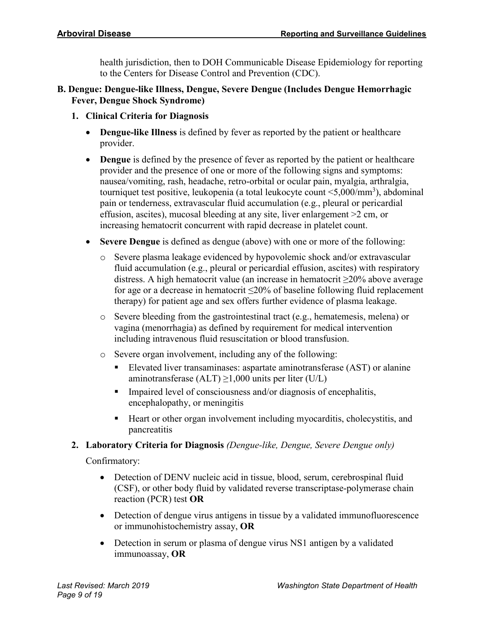health jurisdiction, then to DOH Communicable Disease Epidemiology for reporting to the Centers for Disease Control and Prevention (CDC).

- **B. Dengue: Dengue-like Illness, Dengue, Severe Dengue (Includes Dengue Hemorrhagic Fever, Dengue Shock Syndrome)**
	- **1. Clinical Criteria for Diagnosis**
		- **Dengue-like Illness** is defined by fever as reported by the patient or healthcare provider.
		- **Dengue** is defined by the presence of fever as reported by the patient or healthcare provider and the presence of one or more of the following signs and symptoms: nausea/vomiting, rash, headache, retro-orbital or ocular pain, myalgia, arthralgia, tourniquet test positive, leukopenia (a total leukocyte count <5,000/mm<sup>3</sup>), abdominal pain or tenderness, extravascular fluid accumulation (e.g., pleural or pericardial effusion, ascites), mucosal bleeding at any site, liver enlargement >2 cm, or increasing hematocrit concurrent with rapid decrease in platelet count.
		- **Severe Dengue** is defined as dengue (above) with one or more of the following:
			- o Severe plasma leakage evidenced by hypovolemic shock and/or extravascular fluid accumulation (e.g., pleural or pericardial effusion, ascites) with respiratory distress. A high hematocrit value (an increase in hematocrit ≥20% above average for age or a decrease in hematocrit  $\leq 20\%$  of baseline following fluid replacement therapy) for patient age and sex offers further evidence of plasma leakage.
			- o Severe bleeding from the gastrointestinal tract (e.g., hematemesis, melena) or vagina (menorrhagia) as defined by requirement for medical intervention including intravenous fluid resuscitation or blood transfusion.
			- o Severe organ involvement, including any of the following:
				- Elevated liver transaminases: aspartate aminotransferase (AST) or alanine aminotransferase (ALT)  $\geq$ 1,000 units per liter (U/L)
				- **Impaired level of consciousness and/or diagnosis of encephalitis,** encephalopathy, or meningitis
				- Heart or other organ involvement including myocarditis, cholecystitis, and pancreatitis

# **2. Laboratory Criteria for Diagnosis** *(Dengue-like, Dengue, Severe Dengue only)*

Confirmatory:

- Detection of DENV nucleic acid in tissue, blood, serum, cerebrospinal fluid (CSF), or other body fluid by validated reverse transcriptase-polymerase chain reaction (PCR) test **OR**
- Detection of dengue virus antigens in tissue by a validated immunofluorescence or immunohistochemistry assay, **OR**
- Detection in serum or plasma of dengue virus NS1 antigen by a validated immunoassay, **OR**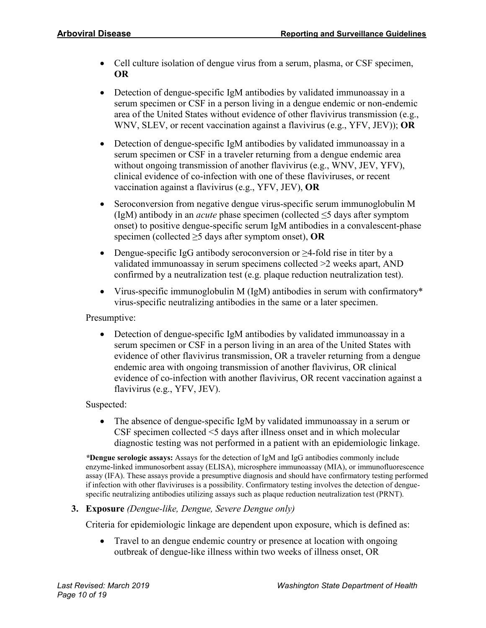- Cell culture isolation of dengue virus from a serum, plasma, or CSF specimen, **OR**
- Detection of dengue-specific IgM antibodies by validated immunoassay in a serum specimen or CSF in a person living in a dengue endemic or non-endemic area of the United States without evidence of other flavivirus transmission (e.g., WNV, SLEV, or recent vaccination against a flavivirus (e.g., YFV, JEV)); **OR**
- Detection of dengue-specific IgM antibodies by validated immunoassay in a serum specimen or CSF in a traveler returning from a dengue endemic area without ongoing transmission of another flavivirus (e.g., WNV, JEV, YFV), clinical evidence of co-infection with one of these flaviviruses, or recent vaccination against a flavivirus (e.g., YFV, JEV), **OR**
- Seroconversion from negative dengue virus-specific serum immunoglobulin M (IgM) antibody in an *acute* phase specimen (collected ≤5 days after symptom onset) to positive dengue-specific serum IgM antibodies in a convalescent-phase specimen (collected ≥5 days after symptom onset), **OR**
- Dengue-specific IgG antibody seroconversion or ≥4-fold rise in titer by a validated immunoassay in serum specimens collected >2 weeks apart, AND confirmed by a neutralization test (e.g. plaque reduction neutralization test).
- Virus-specific immunoglobulin M (IgM) antibodies in serum with confirmatory\* virus-specific neutralizing antibodies in the same or a later specimen.

Presumptive:

• Detection of dengue-specific IgM antibodies by validated immunoassay in a serum specimen or CSF in a person living in an area of the United States with evidence of other flavivirus transmission, OR a traveler returning from a dengue endemic area with ongoing transmission of another flavivirus, OR clinical evidence of co-infection with another flavivirus, OR recent vaccination against a flavivirus (e.g., YFV, JEV).

Suspected:

• The absence of dengue-specific IgM by validated immunoassay in a serum or CSF specimen collected <5 days after illness onset and in which molecular diagnostic testing was not performed in a patient with an epidemiologic linkage.

*\****Dengue serologic assays:** Assays for the detection of IgM and IgG antibodies commonly include enzyme-linked immunosorbent assay (ELISA), microsphere immunoassay (MIA), or immunofluorescence assay (IFA). These assays provide a presumptive diagnosis and should have confirmatory testing performed if infection with other flaviviruses is a possibility. Confirmatory testing involves the detection of denguespecific neutralizing antibodies utilizing assays such as plaque reduction neutralization test (PRNT).

# **3. Exposure** *(Dengue-like, Dengue, Severe Dengue only)*

Criteria for epidemiologic linkage are dependent upon exposure, which is defined as:

• Travel to an dengue endemic country or presence at location with ongoing outbreak of dengue-like illness within two weeks of illness onset, OR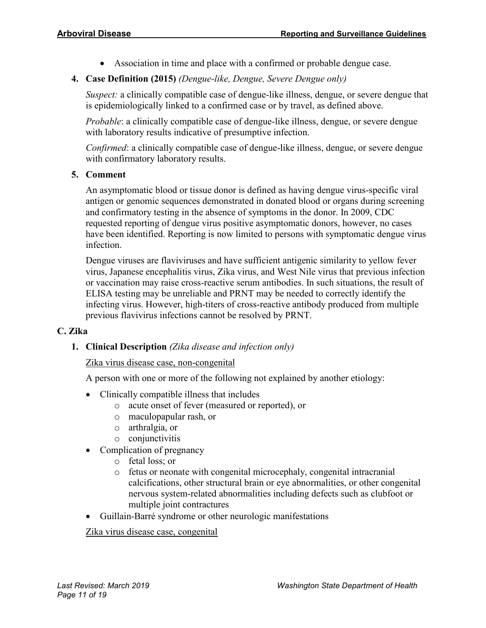• Association in time and place with a confirmed or probable dengue case.

# **4. Case Definition (2015)** *(Dengue-like, Dengue, Severe Dengue only)*

*Suspect:* a clinically compatible case of dengue-like illness, dengue, or severe dengue that is epidemiologically linked to a confirmed case or by travel, as defined above.

*Probable*: a clinically compatible case of dengue-like illness, dengue, or severe dengue with laboratory results indicative of presumptive infection.

*Confirmed*: a clinically compatible case of dengue-like illness, dengue, or severe dengue with confirmatory laboratory results.

#### **5. Comment**

An asymptomatic blood or tissue donor is defined as having dengue virus-specific viral antigen or genomic sequences demonstrated in donated blood or organs during screening and confirmatory testing in the absence of symptoms in the donor. In 2009, CDC requested reporting of dengue virus positive asymptomatic donors, however, no cases have been identified. Reporting is now limited to persons with symptomatic dengue virus infection.

Dengue viruses are flaviviruses and have sufficient antigenic similarity to yellow fever virus, Japanese encephalitis virus, Zika virus, and West Nile virus that previous infection or vaccination may raise cross-reactive serum antibodies. In such situations, the result of ELISA testing may be unreliable and PRNT may be needed to correctly identify the infecting virus. However, high-titers of cross-reactive antibody produced from multiple previous flavivirus infections cannot be resolved by PRNT.

#### **C. Zika**

**1. Clinical Description** *(Zika disease and infection only)*

#### Zika virus disease case, non-congenital

A person with one or more of the following not explained by another etiology:

- Clinically compatible illness that includes
	- o acute onset of fever (measured or reported), or
	- o maculopapular rash, or
	- o arthralgia, or
	- o conjunctivitis
- Complication of pregnancy
	- o fetal loss; or
	- o fetus or neonate with congenital microcephaly, congenital intracranial calcifications, other structural brain or eye abnormalities, or other congenital nervous system-related abnormalities including defects such as clubfoot or multiple joint contractures
- Guillain-Barré syndrome or other neurologic manifestations

#### Zika virus disease case, congenital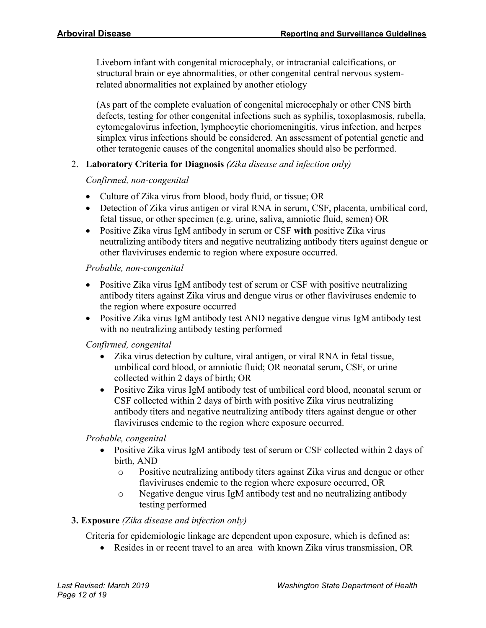Liveborn infant with congenital microcephaly, or intracranial calcifications, or structural brain or eye abnormalities, or other congenital central nervous systemrelated abnormalities not explained by another etiology

(As part of the complete evaluation of congenital microcephaly or other CNS birth defects, testing for other congenital infections such as syphilis, toxoplasmosis, rubella, cytomegalovirus infection, lymphocytic choriomeningitis, virus infection, and herpes simplex virus infections should be considered. An assessment of potential genetic and other teratogenic causes of the congenital anomalies should also be performed.

# 2. **Laboratory Criteria for Diagnosis** *(Zika disease and infection only)*

# *Confirmed, non-congenital*

- Culture of Zika virus from blood, body fluid, or tissue; OR
- Detection of Zika virus antigen or viral RNA in serum, CSF, placenta, umbilical cord, fetal tissue, or other specimen (e.g. urine, saliva, amniotic fluid, semen) OR
- Positive Zika virus IgM antibody in serum or CSF **with** positive Zika virus neutralizing antibody titers and negative neutralizing antibody titers against dengue or other flaviviruses endemic to region where exposure occurred.

# *Probable, non-congenital*

- Positive Zika virus IgM antibody test of serum or CSF with positive neutralizing antibody titers against Zika virus and dengue virus or other flaviviruses endemic to the region where exposure occurred
- Positive Zika virus IgM antibody test AND negative dengue virus IgM antibody test with no neutralizing antibody testing performed

# *Confirmed, congenital*

- Zika virus detection by culture, viral antigen, or viral RNA in fetal tissue, umbilical cord blood, or amniotic fluid; OR neonatal serum, CSF, or urine collected within 2 days of birth; OR
- Positive Zika virus IgM antibody test of umbilical cord blood, neonatal serum or CSF collected within 2 days of birth with positive Zika virus neutralizing antibody titers and negative neutralizing antibody titers against dengue or other flaviviruses endemic to the region where exposure occurred.

# *Probable, congenital*

- Positive Zika virus IgM antibody test of serum or CSF collected within 2 days of birth, AND
	- o Positive neutralizing antibody titers against Zika virus and dengue or other flaviviruses endemic to the region where exposure occurred, OR
	- o Negative dengue virus IgM antibody test and no neutralizing antibody testing performed

# **3. Exposure** *(Zika disease and infection only)*

Criteria for epidemiologic linkage are dependent upon exposure, which is defined as:

• Resides in or recent travel to an area with known Zika virus transmission, OR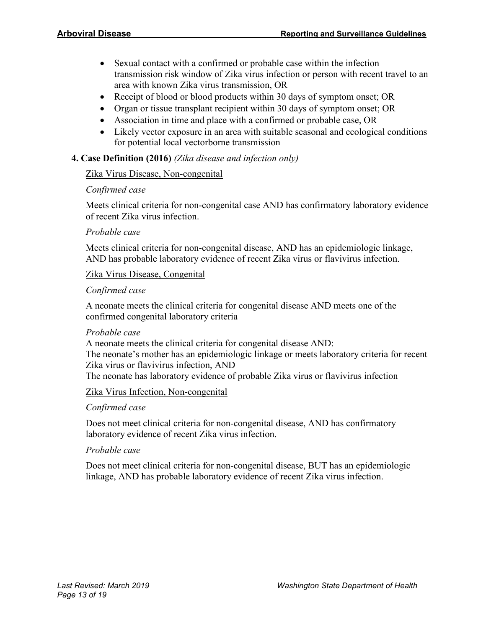- Sexual contact with a confirmed or probable case within the infection transmission risk window of Zika virus infection or person with recent travel to an area with known Zika virus transmission, OR
- Receipt of blood or blood products within 30 days of symptom onset; OR
- Organ or tissue transplant recipient within 30 days of symptom onset; OR
- Association in time and place with a confirmed or probable case, OR
- Likely vector exposure in an area with suitable seasonal and ecological conditions for potential local vectorborne transmission

#### **4. Case Definition (2016)** *(Zika disease and infection only)*

# Zika Virus Disease, Non-congenital

#### *Confirmed case*

Meets clinical criteria for non-congenital case AND has confirmatory laboratory evidence of recent Zika virus infection.

#### *Probable case*

Meets clinical criteria for non-congenital disease, AND has an epidemiologic linkage, AND has probable laboratory evidence of recent Zika virus or flavivirus infection.

#### Zika Virus Disease, Congenital

#### *Confirmed case*

A neonate meets the clinical criteria for congenital disease AND meets one of the confirmed congenital laboratory criteria

#### *Probable case*

A neonate meets the clinical criteria for congenital disease AND: The neonate's mother has an epidemiologic linkage or meets laboratory criteria for recent Zika virus or flavivirus infection, AND

The neonate has laboratory evidence of probable Zika virus or flavivirus infection

#### Zika Virus Infection, Non-congenital

#### *Confirmed case*

Does not meet clinical criteria for non-congenital disease, AND has confirmatory laboratory evidence of recent Zika virus infection.

#### *Probable case*

Does not meet clinical criteria for non-congenital disease, BUT has an epidemiologic linkage, AND has probable laboratory evidence of recent Zika virus infection.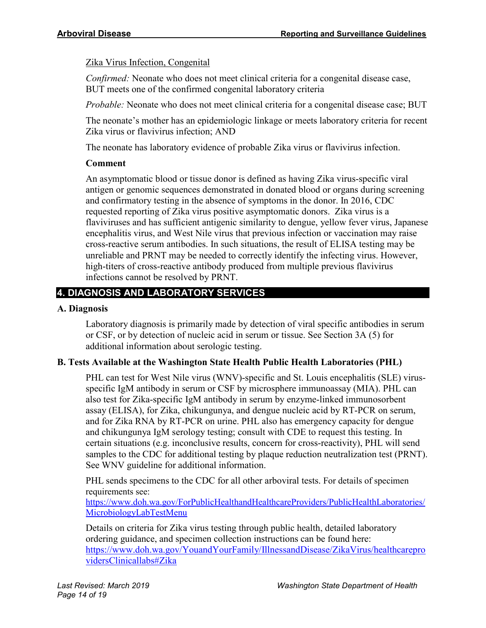Zika Virus Infection, Congenital

*Confirmed:* Neonate who does not meet clinical criteria for a congenital disease case, BUT meets one of the confirmed congenital laboratory criteria

*Probable:* Neonate who does not meet clinical criteria for a congenital disease case; BUT

The neonate's mother has an epidemiologic linkage or meets laboratory criteria for recent Zika virus or flavivirus infection; AND

The neonate has laboratory evidence of probable Zika virus or flavivirus infection.

# **Comment**

An asymptomatic blood or tissue donor is defined as having Zika virus-specific viral antigen or genomic sequences demonstrated in donated blood or organs during screening and confirmatory testing in the absence of symptoms in the donor. In 2016, CDC requested reporting of Zika virus positive asymptomatic donors. Zika virus is a flaviviruses and has sufficient antigenic similarity to dengue, yellow fever virus, Japanese encephalitis virus, and West Nile virus that previous infection or vaccination may raise cross-reactive serum antibodies. In such situations, the result of ELISA testing may be unreliable and PRNT may be needed to correctly identify the infecting virus. However, high-titers of cross-reactive antibody produced from multiple previous flavivirus infections cannot be resolved by PRNT.

# **4. DIAGNOSIS AND LABORATORY SERVICES**

# **A. Diagnosis**

Laboratory diagnosis is primarily made by detection of viral specific antibodies in serum or CSF, or by detection of nucleic acid in serum or tissue. See Section 3A (5) for additional information about serologic testing.

# **B. Tests Available at the Washington State Health Public Health Laboratories (PHL)**

PHL can test for West Nile virus (WNV)-specific and St. Louis encephalitis (SLE) virusspecific IgM antibody in serum or CSF by microsphere immunoassay (MIA). PHL can also test for Zika-specific IgM antibody in serum by enzyme-linked immunosorbent assay (ELISA), for Zika, chikungunya, and dengue nucleic acid by RT-PCR on serum, and for Zika RNA by RT-PCR on urine. PHL also has emergency capacity for dengue and chikungunya IgM serology testing; consult with CDE to request this testing. In certain situations (e.g. inconclusive results, concern for cross-reactivity), PHL will send samples to the CDC for additional testing by plaque reduction neutralization test (PRNT). See WNV guideline for additional information.

PHL sends specimens to the CDC for all other arboviral tests. For details of specimen requirements see:

[https://www.doh.wa.gov/ForPublicHealthandHealthcareProviders/PublicHealthLaboratories/](https://www.doh.wa.gov/ForPublicHealthandHealthcareProviders/PublicHealthLaboratories/MicrobiologyLabTestMenu) [MicrobiologyLabTestMenu](https://www.doh.wa.gov/ForPublicHealthandHealthcareProviders/PublicHealthLaboratories/MicrobiologyLabTestMenu)

Details on criteria for Zika virus testing through public health, detailed laboratory ordering guidance, and specimen collection instructions can be found here: [https://www.doh.wa.gov/YouandYourFamily/IllnessandDisease/ZikaVirus/healthcarepro](https://www.doh.wa.gov/YouandYourFamily/IllnessandDisease/ZikaVirus/healthcareprovidersClinicallabs#Zika) [vidersClinicallabs#Zika](https://www.doh.wa.gov/YouandYourFamily/IllnessandDisease/ZikaVirus/healthcareprovidersClinicallabs#Zika)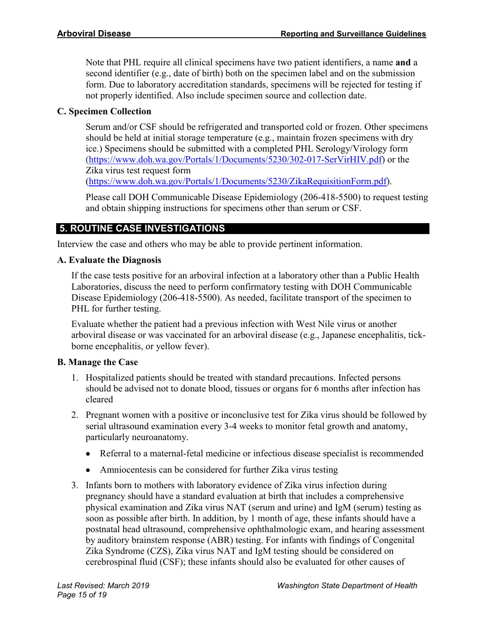Note that PHL require all clinical specimens have two patient identifiers, a name **and** a second identifier (e.g., date of birth) both on the specimen label and on the submission form. Due to laboratory accreditation standards, specimens will be rejected for testing if not properly identified. Also include specimen source and collection date.

# **C. Specimen Collection**

Serum and/or CSF should be refrigerated and transported cold or frozen. Other specimens should be held at initial storage temperature (e.g., maintain frozen specimens with dry ice.) Specimens should be submitted with a completed PHL Serology/Virology form [\(https://www.doh.wa.gov/Portals/1/Documents/5230/302-017-SerVirHIV.pdf\)](https://www.doh.wa.gov/Portals/1/Documents/5230/302-017-SerVirHIV.pdf) or the Zika virus test request form [\(https://www.doh.wa.gov/Portals/1/Documents/5230/ZikaRequisitionForm.pdf\)](https://www.doh.wa.gov/Portals/1/Documents/5230/ZikaRequisitionForm.pdf).

Please call DOH Communicable Disease Epidemiology (206-418-5500) to request testing and obtain shipping instructions for specimens other than serum or CSF.

# **5. ROUTINE CASE INVESTIGATIONS**

Interview the case and others who may be able to provide pertinent information.

# **A. Evaluate the Diagnosis**

If the case tests positive for an arboviral infection at a laboratory other than a Public Health Laboratories, discuss the need to perform confirmatory testing with DOH Communicable Disease Epidemiology (206-418-5500). As needed, facilitate transport of the specimen to PHL for further testing.

Evaluate whether the patient had a previous infection with West Nile virus or another arboviral disease or was vaccinated for an arboviral disease (e.g., Japanese encephalitis, tickborne encephalitis, or yellow fever).

# **B. Manage the Case**

- 1. Hospitalized patients should be treated with standard precautions. Infected persons should be advised not to donate blood, tissues or organs for 6 months after infection has cleared
- 2. Pregnant women with a positive or inconclusive test for Zika virus should be followed by serial ultrasound examination every 3-4 weeks to monitor fetal growth and anatomy, particularly neuroanatomy.
	- Referral to a maternal-fetal medicine or infectious disease specialist is recommended
	- Amniocentesis can be considered for further Zika virus testing
- 3. Infants born to mothers with laboratory evidence of Zika virus infection during pregnancy should have a standard evaluation at birth that includes a comprehensive physical examination and Zika virus NAT (serum and urine) and IgM (serum) testing as soon as possible after birth. In addition, by 1 month of age, these infants should have a postnatal head ultrasound, comprehensive ophthalmologic exam, and hearing assessment by auditory brainstem response (ABR) testing. For infants with findings of Congenital Zika Syndrome (CZS), Zika virus NAT and IgM testing should be considered on cerebrospinal fluid (CSF); these infants should also be evaluated for other causes of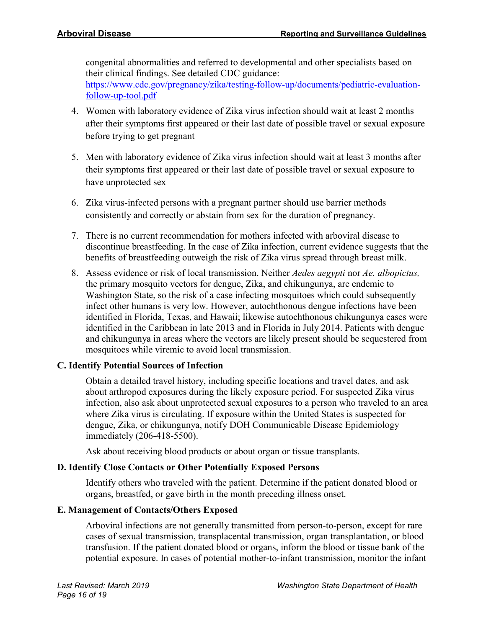congenital abnormalities and referred to developmental and other specialists based on their clinical findings. See detailed CDC guidance: [https://www.cdc.gov/pregnancy/zika/testing-follow-up/documents/pediatric-evaluation](https://www.cdc.gov/pregnancy/zika/testing-follow-up/documents/pediatric-evaluation-follow-up-tool.pdf)[follow-up-tool.pdf](https://www.cdc.gov/pregnancy/zika/testing-follow-up/documents/pediatric-evaluation-follow-up-tool.pdf)

- 4. Women with laboratory evidence of Zika virus infection should wait at least 2 months after their symptoms first appeared or their last date of possible travel or sexual exposure before trying to get pregnant
- 5. Men with laboratory evidence of Zika virus infection should wait at least 3 months after their symptoms first appeared or their last date of possible travel or sexual exposure to have unprotected sex
- 6. Zika virus-infected persons with a pregnant partner should use barrier methods consistently and correctly or abstain from sex for the duration of pregnancy.
- 7. There is no current recommendation for mothers infected with arboviral disease to discontinue breastfeeding. In the case of Zika infection, current evidence suggests that the benefits of breastfeeding outweigh the risk of Zika virus spread through breast milk.
- 8. Assess evidence or risk of local transmission. Neither *Aedes aegypti* nor *Ae. albopictus,* the primary mosquito vectors for dengue, Zika, and chikungunya, are endemic to Washington State, so the risk of a case infecting mosquitoes which could subsequently infect other humans is very low. However, autochthonous dengue infections have been identified in Florida, Texas, and Hawaii; likewise autochthonous chikungunya cases were identified in the Caribbean in late 2013 and in Florida in July 2014. Patients with dengue and chikungunya in areas where the vectors are likely present should be sequestered from mosquitoes while viremic to avoid local transmission.

# **C. Identify Potential Sources of Infection**

Obtain a detailed travel history, including specific locations and travel dates, and ask about arthropod exposures during the likely exposure period. For suspected Zika virus infection, also ask about unprotected sexual exposures to a person who traveled to an area where Zika virus is circulating. If exposure within the United States is suspected for dengue, Zika, or chikungunya, notify DOH Communicable Disease Epidemiology immediately (206-418-5500).

Ask about receiving blood products or about organ or tissue transplants.

#### **D. Identify Close Contacts or Other Potentially Exposed Persons**

Identify others who traveled with the patient. Determine if the patient donated blood or organs, breastfed, or gave birth in the month preceding illness onset.

#### **E. Management of Contacts/Others Exposed**

Arboviral infections are not generally transmitted from person-to-person, except for rare cases of sexual transmission, transplacental transmission, organ transplantation, or blood transfusion. If the patient donated blood or organs, inform the blood or tissue bank of the potential exposure. In cases of potential mother-to-infant transmission, monitor the infant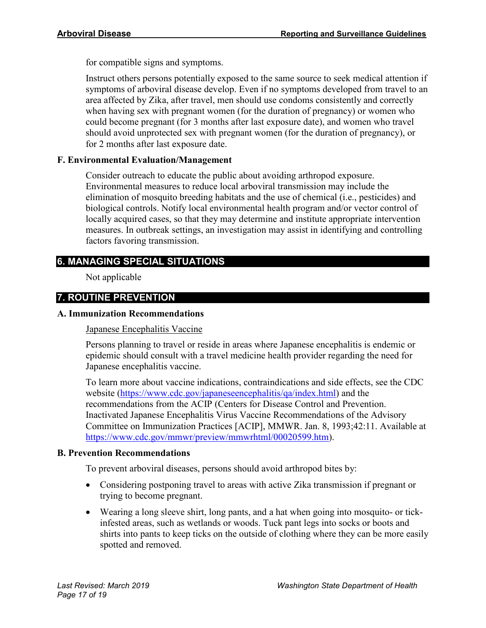for compatible signs and symptoms.

Instruct others persons potentially exposed to the same source to seek medical attention if symptoms of arboviral disease develop. Even if no symptoms developed from travel to an area affected by Zika, after travel, men should use condoms consistently and correctly when having sex with pregnant women (for the duration of pregnancy) or women who could become pregnant (for 3 months after last exposure date), and women who travel should avoid unprotected sex with pregnant women (for the duration of pregnancy), or for 2 months after last exposure date.

# **F. Environmental Evaluation/Management**

Consider outreach to educate the public about avoiding arthropod exposure. Environmental measures to reduce local arboviral transmission may include the elimination of mosquito breeding habitats and the use of chemical (i.e., pesticides) and biological controls. Notify local environmental health program and/or vector control of locally acquired cases, so that they may determine and institute appropriate intervention measures. In outbreak settings, an investigation may assist in identifying and controlling factors favoring transmission.

# **6. MANAGING SPECIAL SITUATIONS**

Not applicable

# **7. ROUTINE PREVENTION**

#### **A. Immunization Recommendations**

Japanese Encephalitis Vaccine

Persons planning to travel or reside in areas where Japanese encephalitis is endemic or epidemic should consult with a travel medicine health provider regarding the need for Japanese encephalitis vaccine.

To learn more about vaccine indications, contraindications and side effects, see the CDC website [\(https://www.cdc.gov/japaneseencephalitis/qa/index.html\)](https://www.cdc.gov/japaneseencephalitis/qa/index.html) and the recommendations from the ACIP (Centers for Disease Control and Prevention. Inactivated Japanese Encephalitis Virus Vaccine Recommendations of the Advisory Committee on Immunization Practices [ACIP], MMWR. Jan. 8, 1993;42:11. Available at [https://www.cdc.gov/mmwr/preview/mmwrhtml/00020599.htm\)](https://www.cdc.gov/mmwr/preview/mmwrhtml/00020599.htm).

#### **B. Prevention Recommendations**

To prevent arboviral diseases, persons should avoid arthropod bites by:

- Considering postponing travel to areas with active Zika transmission if pregnant or trying to become pregnant.
- Wearing a long sleeve shirt, long pants, and a hat when going into mosquito- or tickinfested areas, such as wetlands or woods. Tuck pant legs into socks or boots and shirts into pants to keep ticks on the outside of clothing where they can be more easily spotted and removed.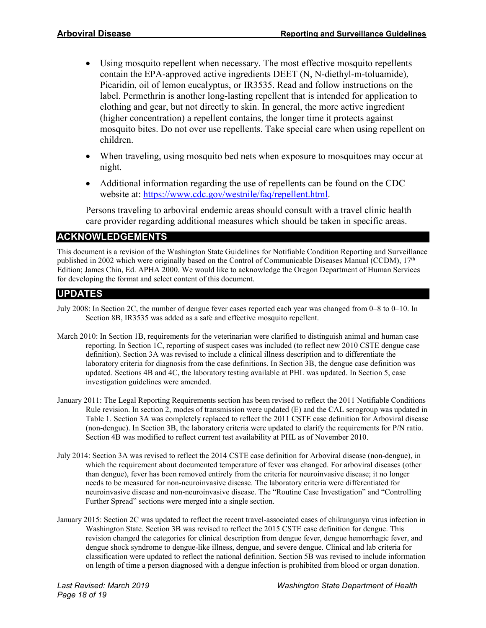- Using mosquito repellent when necessary. The most effective mosquito repellents contain the EPA-approved active ingredients DEET (N, N-diethyl-m-toluamide), Picaridin, oil of lemon eucalyptus, or IR3535. Read and follow instructions on the label. Permethrin is another long-lasting repellent that is intended for application to clothing and gear, but not directly to skin. In general, the more active ingredient (higher concentration) a repellent contains, the longer time it protects against mosquito bites. Do not over use repellents. Take special care when using repellent on children.
- When traveling, using mosquito bed nets when exposure to mosquitoes may occur at night.
- Additional information regarding the use of repellents can be found on the CDC website at: [https://www.cdc.gov/westnile/faq/repellent.html.](https://www.cdc.gov/westnile/faq/repellent.html)

Persons traveling to arboviral endemic areas should consult with a travel clinic health care provider regarding additional measures which should be taken in specific areas.

# **ACKNOWLEDGEMENTS**

This document is a revision of the Washington State Guidelines for Notifiable Condition Reporting and Surveillance published in 2002 which were originally based on the Control of Communicable Diseases Manual (CCDM), 17<sup>th</sup> Edition; James Chin, Ed. APHA 2000. We would like to acknowledge the Oregon Department of Human Services for developing the format and select content of this document.

# **UPDATES**

- July 2008: In Section 2C, the number of dengue fever cases reported each year was changed from 0–8 to 0–10. In Section 8B, IR3535 was added as a safe and effective mosquito repellent.
- March 2010: In Section 1B, requirements for the veterinarian were clarified to distinguish animal and human case reporting. In Section 1C, reporting of suspect cases was included (to reflect new 2010 CSTE dengue case definition). Section 3A was revised to include a clinical illness description and to differentiate the laboratory criteria for diagnosis from the case definitions. In Section 3B, the dengue case definition was updated. Sections 4B and 4C, the laboratory testing available at PHL was updated. In Section 5, case investigation guidelines were amended.
- January 2011: The Legal Reporting Requirements section has been revised to reflect the 2011 Notifiable Conditions Rule revision. In section 2, modes of transmission were updated (E) and the CAL serogroup was updated in Table 1. Section 3A was completely replaced to reflect the 2011 CSTE case definition for Arboviral disease (non-dengue). In Section 3B, the laboratory criteria were updated to clarify the requirements for P/N ratio. Section 4B was modified to reflect current test availability at PHL as of November 2010.
- July 2014: Section 3A was revised to reflect the 2014 CSTE case definition for Arboviral disease (non-dengue), in which the requirement about documented temperature of fever was changed. For arboviral diseases (other than dengue), fever has been removed entirely from the criteria for neuroinvasive disease; it no longer needs to be measured for non-neuroinvasive disease. The laboratory criteria were differentiated for neuroinvasive disease and non-neuroinvasive disease. The "Routine Case Investigation" and "Controlling Further Spread" sections were merged into a single section.
- January 2015: Section 2C was updated to reflect the recent travel-associated cases of chikungunya virus infection in Washington State. Section 3B was revised to reflect the 2015 CSTE case definition for dengue. This revision changed the categories for clinical description from dengue fever, dengue hemorrhagic fever, and dengue shock syndrome to dengue-like illness, dengue, and severe dengue. Clinical and lab criteria for classification were updated to reflect the national definition. Section 5B was revised to include information on length of time a person diagnosed with a dengue infection is prohibited from blood or organ donation.